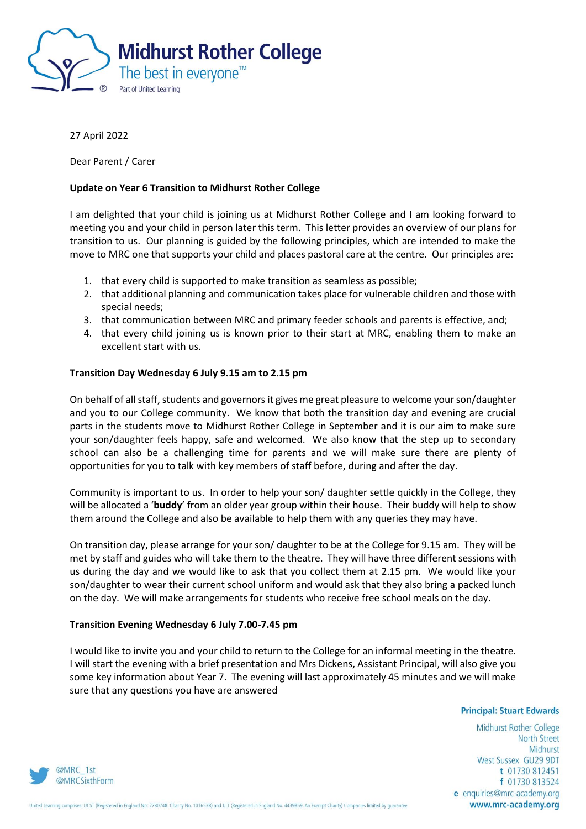

## 27 April 2022

Dear Parent / Carer

# **Update on Year 6 Transition to Midhurst Rother College**

I am delighted that your child is joining us at Midhurst Rother College and I am looking forward to meeting you and your child in person later this term. This letter provides an overview of our plans for transition to us. Our planning is guided by the following principles, which are intended to make the move to MRC one that supports your child and places pastoral care at the centre. Our principles are:

- 1. that every child is supported to make transition as seamless as possible;
- 2. that additional planning and communication takes place for vulnerable children and those with special needs;
- 3. that communication between MRC and primary feeder schools and parents is effective, and;
- 4. that every child joining us is known prior to their start at MRC, enabling them to make an excellent start with us.

### **Transition Day Wednesday 6 July 9.15 am to 2.15 pm**

On behalf of all staff, students and governors it gives me great pleasure to welcome your son/daughter and you to our College community. We know that both the transition day and evening are crucial parts in the students move to Midhurst Rother College in September and it is our aim to make sure your son/daughter feels happy, safe and welcomed. We also know that the step up to secondary school can also be a challenging time for parents and we will make sure there are plenty of opportunities for you to talk with key members of staff before, during and after the day.

Community is important to us. In order to help your son/ daughter settle quickly in the College, they will be allocated a '**buddy**' from an older year group within their house. Their buddy will help to show them around the College and also be available to help them with any queries they may have.

On transition day, please arrange for your son/ daughter to be at the College for 9.15 am. They will be met by staff and guides who will take them to the theatre. They will have three different sessions with us during the day and we would like to ask that you collect them at 2.15 pm. We would like your son/daughter to wear their current school uniform and would ask that they also bring a packed lunch on the day. We will make arrangements for students who receive free school meals on the day.

### **Transition Evening Wednesday 6 July 7.00-7.45 pm**

I would like to invite you and your child to return to the College for an informal meeting in the theatre. I will start the evening with a brief presentation and Mrs Dickens, Assistant Principal, will also give you some key information about Year 7. The evening will last approximately 45 minutes and we will make sure that any questions you have are answered

#### **Principal: Stuart Edwards**

Midhurst Rother College **North Street** Midhurst West Sussex GU29 9DT t 01730 812451 f 01730 813524 e enquiries@mrc-academy.org www.mrc-academy.org

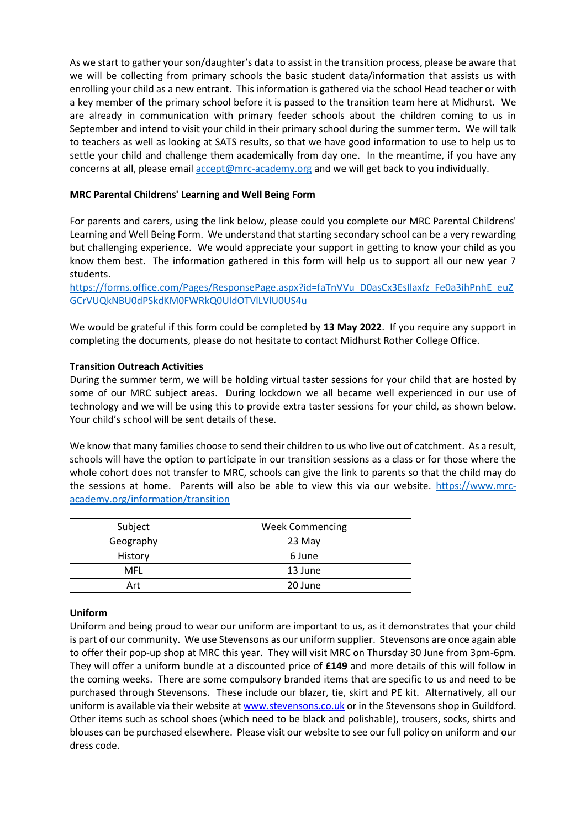As we start to gather your son/daughter's data to assist in the transition process, please be aware that we will be collecting from primary schools the basic student data/information that assists us with enrolling your child as a new entrant. This information is gathered via the school Head teacher or with a key member of the primary school before it is passed to the transition team here at Midhurst. We are already in communication with primary feeder schools about the children coming to us in September and intend to visit your child in their primary school during the summer term. We will talk to teachers as well as looking at SATS results, so that we have good information to use to help us to settle your child and challenge them academically from day one. In the meantime, if you have any concerns at all, please email [accept@mrc-academy.org](mailto:accept@mrc-academy.org) and we will get back to you individually.

# **MRC Parental Childrens' Learning and Well Being Form**

For parents and carers, using the link below, please could you complete our MRC Parental Childrens' Learning and Well Being Form. We understand that starting secondary school can be a very rewarding but challenging experience. We would appreciate your support in getting to know your child as you know them best. The information gathered in this form will help us to support all our new year 7 students.

[https://forms.office.com/Pages/ResponsePage.aspx?id=faTnVVu\\_D0asCx3EsIlaxfz\\_Fe0a3ihPnhE\\_euZ](https://forms.office.com/Pages/ResponsePage.aspx?id=faTnVVu_D0asCx3EsIlaxfz_Fe0a3ihPnhE_euZGCrVUQkNBU0dPSkdKM0FWRkQ0UldOTVlLVlU0US4u) [GCrVUQkNBU0dPSkdKM0FWRkQ0UldOTVlLVlU0US4u](https://forms.office.com/Pages/ResponsePage.aspx?id=faTnVVu_D0asCx3EsIlaxfz_Fe0a3ihPnhE_euZGCrVUQkNBU0dPSkdKM0FWRkQ0UldOTVlLVlU0US4u)

We would be grateful if this form could be completed by **13 May 2022**. If you require any support in completing the documents, please do not hesitate to contact Midhurst Rother College Office.

### **Transition Outreach Activities**

During the summer term, we will be holding virtual taster sessions for your child that are hosted by some of our MRC subject areas. During lockdown we all became well experienced in our use of technology and we will be using this to provide extra taster sessions for your child, as shown below. Your child's school will be sent details of these.

We know that many families choose to send their children to us who live out of catchment. As a result, schools will have the option to participate in our transition sessions as a class or for those where the whole cohort does not transfer to MRC, schools can give the link to parents so that the child may do the sessions at home. Parents will also be able to view this via our website. [https://www.mrc](https://www.mrc-academy.org/information/transition)[academy.org/information/transition](https://www.mrc-academy.org/information/transition)

| Subject   | <b>Week Commencing</b> |
|-----------|------------------------|
| Geography | 23 May                 |
| History   | 6 June                 |
| MFL       | 13 June                |
| Art       | 20 June                |

### **Uniform**

Uniform and being proud to wear our uniform are important to us, as it demonstrates that your child is part of our community. We use Stevensons as our uniform supplier. Stevensons are once again able to offer their pop-up shop at MRC this year. They will visit MRC on Thursday 30 June from 3pm-6pm. They will offer a uniform bundle at a discounted price of **£149** and more details of this will follow in the coming weeks. There are some compulsory branded items that are specific to us and need to be purchased through Stevensons. These include our blazer, tie, skirt and PE kit. Alternatively, all our uniform is available via their website a[t www.stevensons.co.uk](http://www.stevensons.co.uk/) or in the Stevensons shop in Guildford. Other items such as school shoes (which need to be black and polishable), trousers, socks, shirts and blouses can be purchased elsewhere. Please visit our website to see our full policy on uniform and our dress code.